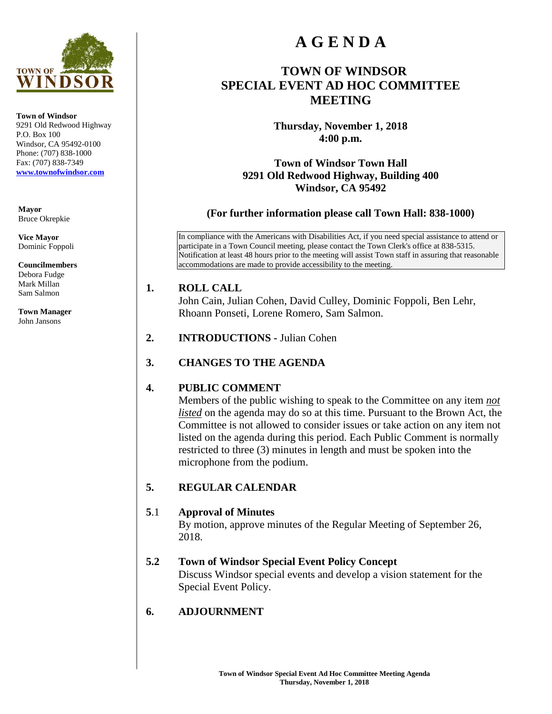

**Town of Windsor** 9291 Old Redwood Highway P.O. Box 100 Windsor, CA 95492-0100 Phone: (707) 838-1000 Fax: (707) 838-7349 **[www.townofwindsor.com](http://www.townofwindsor.com/)**

**Mayor** Bruce Okrepkie

**Vice Mayor** Dominic Foppoli

**Councilmembers** Debora Fudge Mark Millan

**Town Manager** John Jansons

Sam Salmon

# **A G E N D A**

### **TOWN OF WINDSOR SPECIAL EVENT AD HOC COMMITTEE MEETING**

**Thursday, November 1, 2018 4:00 p.m.** 

**Town of Windsor Town Hall 9291 Old Redwood Highway, Building 400 Windsor, CA 95492** 

**(For further information please call Town Hall: 838-1000)** 

In compliance with the Americans with Disabilities Act, if you need special assistance to attend or participate in a Town Council meeting, please contact the Town Clerk's office at 838-5315. Notification at least 48 hours prior to the meeting will assist Town staff in assuring that reasonable accommodations are made to provide accessibility to the meeting.

#### **1. ROLL CALL**

John Cain, Julian Cohen, David Culley, Dominic Foppoli, Ben Lehr, Rhoann Ponseti, Lorene Romero, Sam Salmon.

- **2. INTRODUCTIONS** Julian Cohen
- **3. CHANGES TO THE AGENDA**

#### **4. PUBLIC COMMENT**

Members of the public wishing to speak to the Committee on any item *not listed* on the agenda may do so at this time. Pursuant to the Brown Act, the Committee is not allowed to consider issues or take action on any item not listed on the agenda during this period. Each Public Comment is normally restricted to three (3) minutes in length and must be spoken into the microphone from the podium.

#### **5. REGULAR CALENDAR**

#### **5**.1 **Approval of Minutes**

By motion, approve minutes of the Regular Meeting of September 26, 2018.

#### **5.2 Town of Windsor Special Event Policy Concept**

Discuss Windsor special events and develop a vision statement for the Special Event Policy.

#### **6. ADJOURNMENT**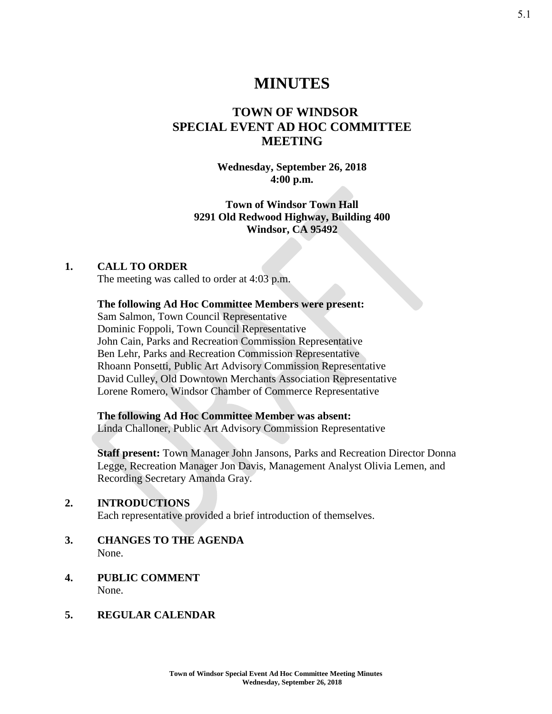### **MINUTES**

### **TOWN OF WINDSOR SPECIAL EVENT AD HOC COMMITTEE MEETING**

#### **Wednesday, September 26, 2018 4:00 p.m.**

#### **Town of Windsor Town Hall 9291 Old Redwood Highway, Building 400 Windsor, CA 95492**

#### **1. CALL TO ORDER**

The meeting was called to order at 4:03 p.m.

#### **The following Ad Hoc Committee Members were present:**

Sam Salmon, Town Council Representative Dominic Foppoli, Town Council Representative John Cain, Parks and Recreation Commission Representative Ben Lehr, Parks and Recreation Commission Representative Rhoann Ponsetti, Public Art Advisory Commission Representative David Culley, Old Downtown Merchants Association Representative Lorene Romero, Windsor Chamber of Commerce Representative

**The following Ad Hoc Committee Member was absent:** Linda Challoner, Public Art Advisory Commission Representative

**Staff present:** Town Manager John Jansons, Parks and Recreation Director Donna Legge, Recreation Manager Jon Davis, Management Analyst Olivia Lemen, and Recording Secretary Amanda Gray.

#### **2. INTRODUCTIONS**

Each representative provided a brief introduction of themselves.

- **3. CHANGES TO THE AGENDA** None.
- **4. PUBLIC COMMENT** None.

#### **5. REGULAR CALENDAR**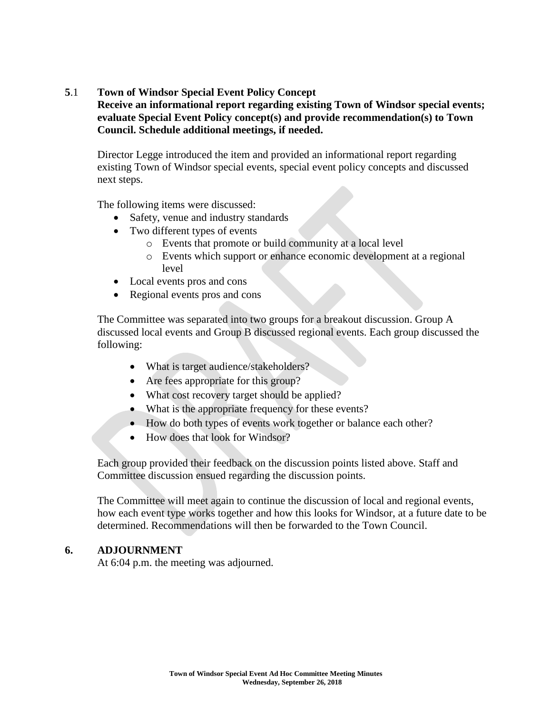#### **5**.1 **Town of Windsor Special Event Policy Concept**

#### **Receive an informational report regarding existing Town of Windsor special events; evaluate Special Event Policy concept(s) and provide recommendation(s) to Town Council. Schedule additional meetings, if needed.**

Director Legge introduced the item and provided an informational report regarding existing Town of Windsor special events, special event policy concepts and discussed next steps.

The following items were discussed:

- Safety, venue and industry standards
- Two different types of events
	- o Events that promote or build community at a local level
	- o Events which support or enhance economic development at a regional level
- Local events pros and cons
- Regional events pros and cons

The Committee was separated into two groups for a breakout discussion. Group A discussed local events and Group B discussed regional events. Each group discussed the following:

- What is target audience/stakeholders?
- Are fees appropriate for this group?
- What cost recovery target should be applied?
- What is the appropriate frequency for these events?
- How do both types of events work together or balance each other?
- How does that look for Windsor?

Each group provided their feedback on the discussion points listed above. Staff and Committee discussion ensued regarding the discussion points.

The Committee will meet again to continue the discussion of local and regional events, how each event type works together and how this looks for Windsor, at a future date to be determined. Recommendations will then be forwarded to the Town Council.

#### **6. ADJOURNMENT**

At 6:04 p.m. the meeting was adjourned.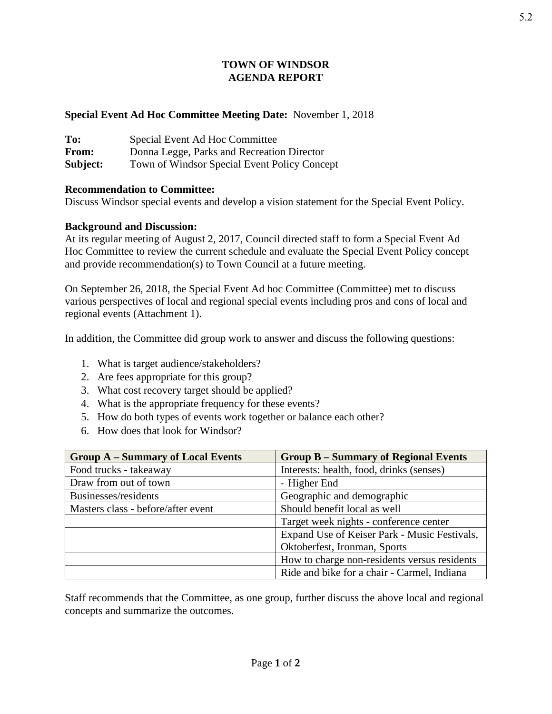#### **TOWN OF WINDSOR AGENDA REPORT**

#### **Special Event Ad Hoc Committee Meeting Date:** November 1, 2018

| To:      | Special Event Ad Hoc Committee               |
|----------|----------------------------------------------|
| From:    | Donna Legge, Parks and Recreation Director   |
| Subject: | Town of Windsor Special Event Policy Concept |

#### **Recommendation to Committee:**

Discuss Windsor special events and develop a vision statement for the Special Event Policy.

#### **Background and Discussion:**

At its regular meeting of August 2, 2017, Council directed staff to form a Special Event Ad Hoc Committee to review the current schedule and evaluate the Special Event Policy concept and provide recommendation(s) to Town Council at a future meeting.

On September 26, 2018, the Special Event Ad hoc Committee (Committee) met to discuss various perspectives of local and regional special events including pros and cons of local and regional events (Attachment 1).

In addition, the Committee did group work to answer and discuss the following questions:

- 1. What is target audience/stakeholders?
- 2. Are fees appropriate for this group?
- 3. What cost recovery target should be applied?
- 4. What is the appropriate frequency for these events?
- 5. How do both types of events work together or balance each other?
- 6. How does that look for Windsor?

| <b>Group A – Summary of Local Events</b> | <b>Group B – Summary of Regional Events</b>  |
|------------------------------------------|----------------------------------------------|
| Food trucks - takeaway                   | Interests: health, food, drinks (senses)     |
| Draw from out of town                    | - Higher End                                 |
| Businesses/residents                     | Geographic and demographic                   |
| Masters class - before/after event       | Should benefit local as well                 |
|                                          | Target week nights - conference center       |
|                                          | Expand Use of Keiser Park - Music Festivals, |
|                                          | Oktoberfest, Ironman, Sports                 |
|                                          | How to charge non-residents versus residents |
|                                          | Ride and bike for a chair - Carmel, Indiana  |

Staff recommends that the Committee, as one group, further discuss the above local and regional concepts and summarize the outcomes.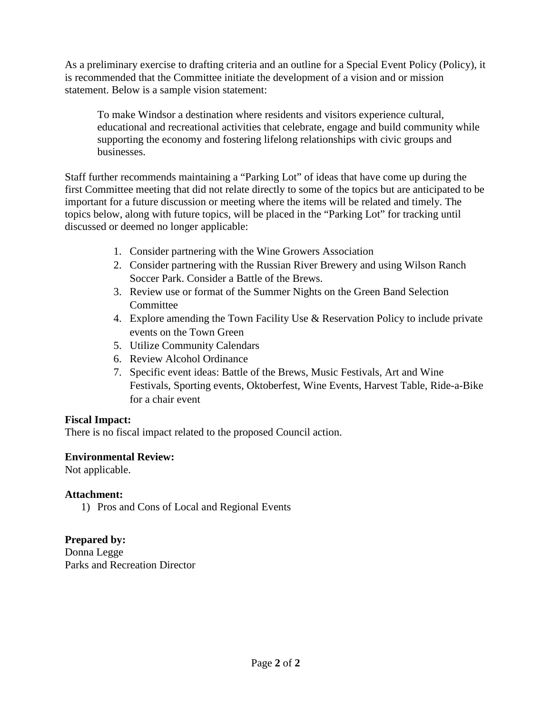As a preliminary exercise to drafting criteria and an outline for a Special Event Policy (Policy), it is recommended that the Committee initiate the development of a vision and or mission statement. Below is a sample vision statement:

To make Windsor a destination where residents and visitors experience cultural, educational and recreational activities that celebrate, engage and build community while supporting the economy and fostering lifelong relationships with civic groups and businesses.

Staff further recommends maintaining a "Parking Lot" of ideas that have come up during the first Committee meeting that did not relate directly to some of the topics but are anticipated to be important for a future discussion or meeting where the items will be related and timely. The topics below, along with future topics, will be placed in the "Parking Lot" for tracking until discussed or deemed no longer applicable:

- 1. Consider partnering with the Wine Growers Association
- 2. Consider partnering with the Russian River Brewery and using Wilson Ranch Soccer Park. Consider a Battle of the Brews.
- 3. Review use or format of the Summer Nights on the Green Band Selection **Committee**
- 4. Explore amending the Town Facility Use & Reservation Policy to include private events on the Town Green
- 5. Utilize Community Calendars
- 6. Review Alcohol Ordinance
- 7. Specific event ideas: Battle of the Brews, Music Festivals, Art and Wine Festivals, Sporting events, Oktoberfest, Wine Events, Harvest Table, Ride-a-Bike for a chair event

#### **Fiscal Impact:**

There is no fiscal impact related to the proposed Council action.

#### **Environmental Review:**

Not applicable.

#### **Attachment:**

1) Pros and Cons of Local and Regional Events

**Prepared by:**  Donna Legge Parks and Recreation Director